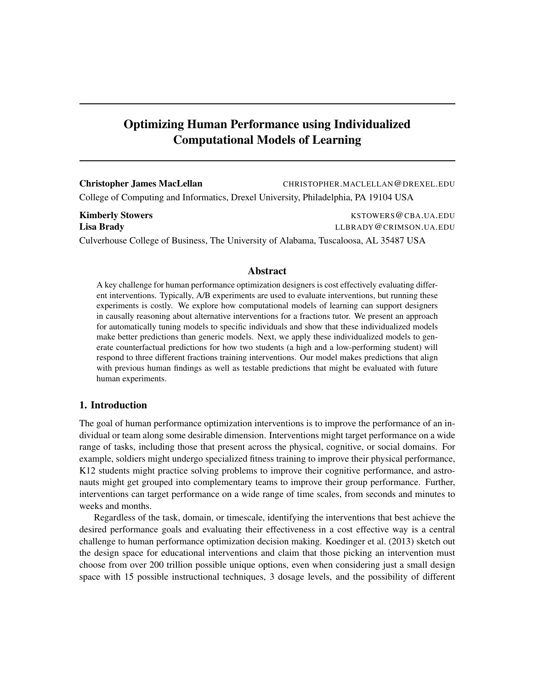# Optimizing Human Performance using Individualized Computational Models of Learning

Christopher James MacLellan CHRISTOPHER.MACLELLAN@DREXEL.EDU College of Computing and Informatics, Drexel University, Philadelphia, PA 19104 USA

Kimberly Stowers **KIMBERS AND RESOUTER STOWERS KSTOWERS @CBA.UA.EDU** Lisa Brady LLBRADY@CRIMSON.UA.EDU Culverhouse College of Business, The University of Alabama, Tuscaloosa, AL 35487 USA

## Abstract

A key challenge for human performance optimization designers is cost effectively evaluating different interventions. Typically, A/B experiments are used to evaluate interventions, but running these experiments is costly. We explore how computational models of learning can support designers in causally reasoning about alternative interventions for a fractions tutor. We present an approach for automatically tuning models to specific individuals and show that these individualized models make better predictions than generic models. Next, we apply these individualized models to generate counterfactual predictions for how two students (a high and a low-performing student) will respond to three different fractions training interventions. Our model makes predictions that align with previous human findings as well as testable predictions that might be evaluated with future human experiments.

# 1. Introduction

The goal of human performance optimization interventions is to improve the performance of an individual or team along some desirable dimension. Interventions might target performance on a wide range of tasks, including those that present across the physical, cognitive, or social domains. For example, soldiers might undergo specialized fitness training to improve their physical performance, K12 students might practice solving problems to improve their cognitive performance, and astronauts might get grouped into complementary teams to improve their group performance. Further, interventions can target performance on a wide range of time scales, from seconds and minutes to weeks and months.

Regardless of the task, domain, or timescale, identifying the interventions that best achieve the desired performance goals and evaluating their effectiveness in a cost effective way is a central challenge to human performance optimization decision making. Koedinger et al. (2013) sketch out the design space for educational interventions and claim that those picking an intervention must choose from over 200 trillion possible unique options, even when considering just a small design space with 15 possible instructional techniques, 3 dosage levels, and the possibility of different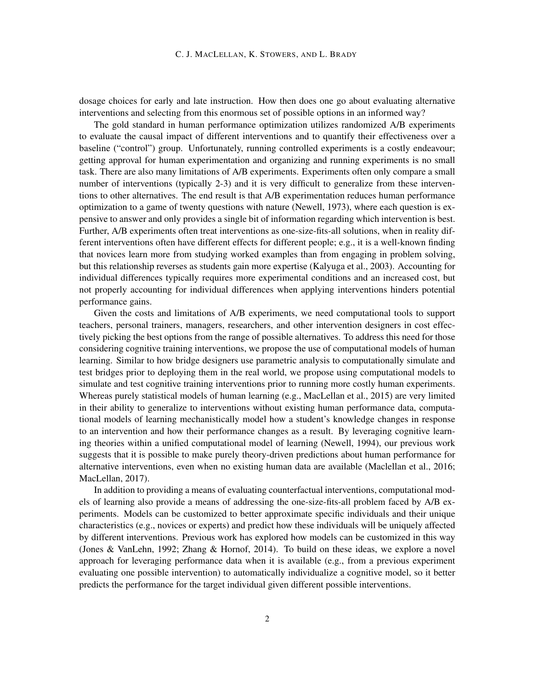dosage choices for early and late instruction. How then does one go about evaluating alternative interventions and selecting from this enormous set of possible options in an informed way?

The gold standard in human performance optimization utilizes randomized A/B experiments to evaluate the causal impact of different interventions and to quantify their effectiveness over a baseline ("control") group. Unfortunately, running controlled experiments is a costly endeavour; getting approval for human experimentation and organizing and running experiments is no small task. There are also many limitations of A/B experiments. Experiments often only compare a small number of interventions (typically 2-3) and it is very difficult to generalize from these interventions to other alternatives. The end result is that A/B experimentation reduces human performance optimization to a game of twenty questions with nature (Newell, 1973), where each question is expensive to answer and only provides a single bit of information regarding which intervention is best. Further, A/B experiments often treat interventions as one-size-fits-all solutions, when in reality different interventions often have different effects for different people; e.g., it is a well-known finding that novices learn more from studying worked examples than from engaging in problem solving, but this relationship reverses as students gain more expertise (Kalyuga et al., 2003). Accounting for individual differences typically requires more experimental conditions and an increased cost, but not properly accounting for individual differences when applying interventions hinders potential performance gains.

Given the costs and limitations of A/B experiments, we need computational tools to support teachers, personal trainers, managers, researchers, and other intervention designers in cost effectively picking the best options from the range of possible alternatives. To address this need for those considering cognitive training interventions, we propose the use of computational models of human learning. Similar to how bridge designers use parametric analysis to computationally simulate and test bridges prior to deploying them in the real world, we propose using computational models to simulate and test cognitive training interventions prior to running more costly human experiments. Whereas purely statistical models of human learning (e.g., MacLellan et al., 2015) are very limited in their ability to generalize to interventions without existing human performance data, computational models of learning mechanistically model how a student's knowledge changes in response to an intervention and how their performance changes as a result. By leveraging cognitive learning theories within a unified computational model of learning (Newell, 1994), our previous work suggests that it is possible to make purely theory-driven predictions about human performance for alternative interventions, even when no existing human data are available (Maclellan et al., 2016; MacLellan, 2017).

In addition to providing a means of evaluating counterfactual interventions, computational models of learning also provide a means of addressing the one-size-fits-all problem faced by A/B experiments. Models can be customized to better approximate specific individuals and their unique characteristics (e.g., novices or experts) and predict how these individuals will be uniquely affected by different interventions. Previous work has explored how models can be customized in this way (Jones & VanLehn, 1992; Zhang & Hornof, 2014). To build on these ideas, we explore a novel approach for leveraging performance data when it is available (e.g., from a previous experiment evaluating one possible intervention) to automatically individualize a cognitive model, so it better predicts the performance for the target individual given different possible interventions.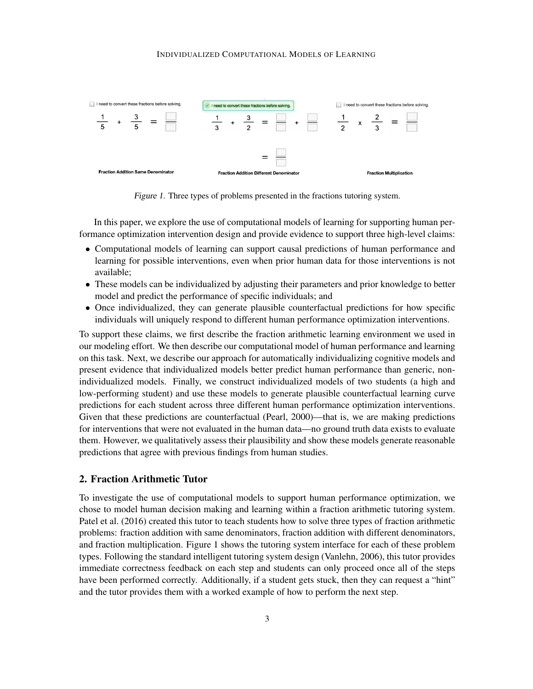

Figure 1. Three types of problems presented in the fractions tutoring system.

In this paper, we explore the use of computational models of learning for supporting human performance optimization intervention design and provide evidence to support three high-level claims:

- Computational models of learning can support causal predictions of human performance and learning for possible interventions, even when prior human data for those interventions is not available;
- These models can be individualized by adjusting their parameters and prior knowledge to better model and predict the performance of specific individuals; and
- Once individualized, they can generate plausible counterfactual predictions for how specific individuals will uniquely respond to different human performance optimization interventions.

To support these claims, we first describe the fraction arithmetic learning environment we used in our modeling effort. We then describe our computational model of human performance and learning on this task. Next, we describe our approach for automatically individualizing cognitive models and present evidence that individualized models better predict human performance than generic, nonindividualized models. Finally, we construct individualized models of two students (a high and low-performing student) and use these models to generate plausible counterfactual learning curve predictions for each student across three different human performance optimization interventions. Given that these predictions are counterfactual (Pearl, 2000)—that is, we are making predictions for interventions that were not evaluated in the human data—no ground truth data exists to evaluate them. However, we qualitatively assess their plausibility and show these models generate reasonable predictions that agree with previous findings from human studies.

# 2. Fraction Arithmetic Tutor

To investigate the use of computational models to support human performance optimization, we chose to model human decision making and learning within a fraction arithmetic tutoring system. Patel et al. (2016) created this tutor to teach students how to solve three types of fraction arithmetic problems: fraction addition with same denominators, fraction addition with different denominators, and fraction multiplication. Figure 1 shows the tutoring system interface for each of these problem types. Following the standard intelligent tutoring system design (Vanlehn, 2006), this tutor provides immediate correctness feedback on each step and students can only proceed once all of the steps have been performed correctly. Additionally, if a student gets stuck, then they can request a "hint" and the tutor provides them with a worked example of how to perform the next step.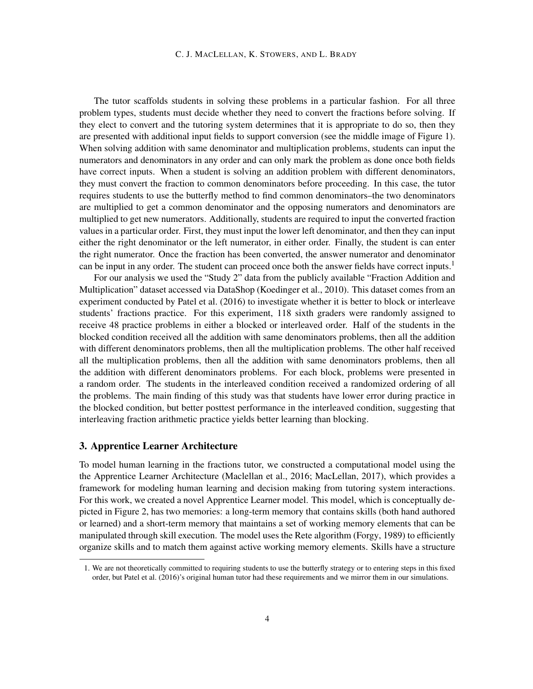The tutor scaffolds students in solving these problems in a particular fashion. For all three problem types, students must decide whether they need to convert the fractions before solving. If they elect to convert and the tutoring system determines that it is appropriate to do so, then they are presented with additional input fields to support conversion (see the middle image of Figure 1). When solving addition with same denominator and multiplication problems, students can input the numerators and denominators in any order and can only mark the problem as done once both fields have correct inputs. When a student is solving an addition problem with different denominators, they must convert the fraction to common denominators before proceeding. In this case, the tutor requires students to use the butterfly method to find common denominators–the two denominators are multiplied to get a common denominator and the opposing numerators and denominators are multiplied to get new numerators. Additionally, students are required to input the converted fraction values in a particular order. First, they must input the lower left denominator, and then they can input either the right denominator or the left numerator, in either order. Finally, the student is can enter the right numerator. Once the fraction has been converted, the answer numerator and denominator can be input in any order. The student can proceed once both the answer fields have correct inputs.<sup>1</sup>

For our analysis we used the "Study 2" data from the publicly available "Fraction Addition and Multiplication" dataset accessed via DataShop (Koedinger et al., 2010). This dataset comes from an experiment conducted by Patel et al. (2016) to investigate whether it is better to block or interleave students' fractions practice. For this experiment, 118 sixth graders were randomly assigned to receive 48 practice problems in either a blocked or interleaved order. Half of the students in the blocked condition received all the addition with same denominators problems, then all the addition with different denominators problems, then all the multiplication problems. The other half received all the multiplication problems, then all the addition with same denominators problems, then all the addition with different denominators problems. For each block, problems were presented in a random order. The students in the interleaved condition received a randomized ordering of all the problems. The main finding of this study was that students have lower error during practice in the blocked condition, but better posttest performance in the interleaved condition, suggesting that interleaving fraction arithmetic practice yields better learning than blocking.

# 3. Apprentice Learner Architecture

To model human learning in the fractions tutor, we constructed a computational model using the the Apprentice Learner Architecture (Maclellan et al., 2016; MacLellan, 2017), which provides a framework for modeling human learning and decision making from tutoring system interactions. For this work, we created a novel Apprentice Learner model. This model, which is conceptually depicted in Figure 2, has two memories: a long-term memory that contains skills (both hand authored or learned) and a short-term memory that maintains a set of working memory elements that can be manipulated through skill execution. The model uses the Rete algorithm (Forgy, 1989) to efficiently organize skills and to match them against active working memory elements. Skills have a structure

<sup>1.</sup> We are not theoretically committed to requiring students to use the butterfly strategy or to entering steps in this fixed order, but Patel et al. (2016)'s original human tutor had these requirements and we mirror them in our simulations.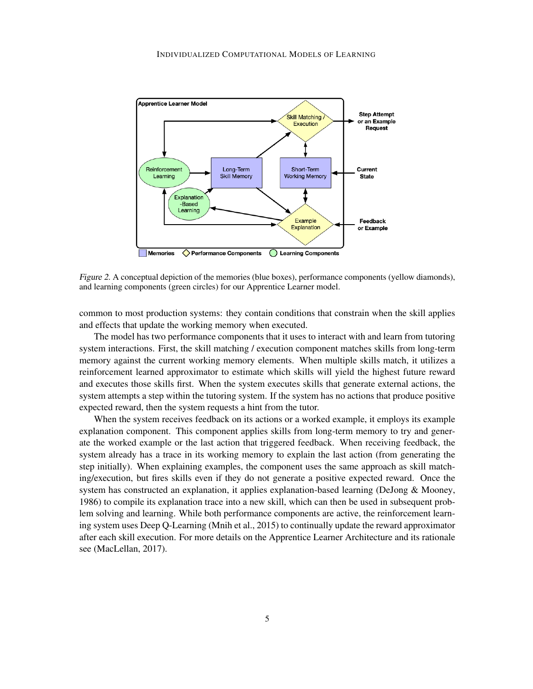

Figure 2. A conceptual depiction of the memories (blue boxes), performance components (yellow diamonds), and learning components (green circles) for our Apprentice Learner model.

common to most production systems: they contain conditions that constrain when the skill applies and effects that update the working memory when executed.

The model has two performance components that it uses to interact with and learn from tutoring system interactions. First, the skill matching / execution component matches skills from long-term memory against the current working memory elements. When multiple skills match, it utilizes a reinforcement learned approximator to estimate which skills will yield the highest future reward and executes those skills first. When the system executes skills that generate external actions, the system attempts a step within the tutoring system. If the system has no actions that produce positive expected reward, then the system requests a hint from the tutor.

When the system receives feedback on its actions or a worked example, it employs its example explanation component. This component applies skills from long-term memory to try and generate the worked example or the last action that triggered feedback. When receiving feedback, the system already has a trace in its working memory to explain the last action (from generating the step initially). When explaining examples, the component uses the same approach as skill matching/execution, but fires skills even if they do not generate a positive expected reward. Once the system has constructed an explanation, it applies explanation-based learning (DeJong & Mooney, 1986) to compile its explanation trace into a new skill, which can then be used in subsequent problem solving and learning. While both performance components are active, the reinforcement learning system uses Deep Q-Learning (Mnih et al., 2015) to continually update the reward approximator after each skill execution. For more details on the Apprentice Learner Architecture and its rationale see (MacLellan, 2017).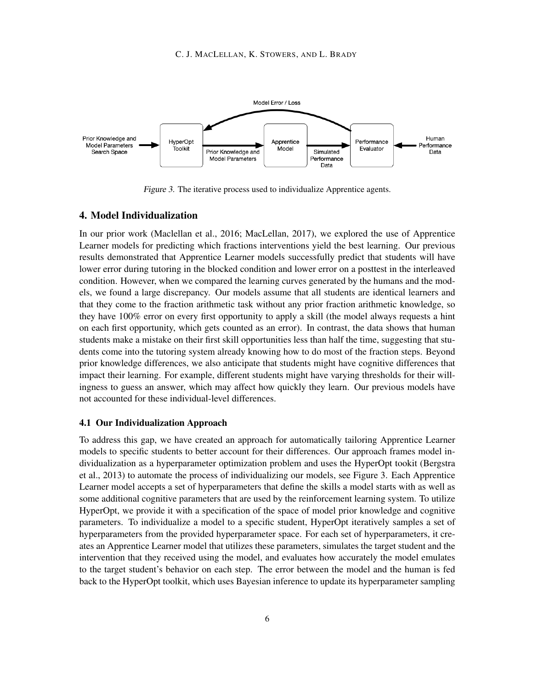

Figure 3. The iterative process used to individualize Apprentice agents.

# 4. Model Individualization

In our prior work (Maclellan et al., 2016; MacLellan, 2017), we explored the use of Apprentice Learner models for predicting which fractions interventions yield the best learning. Our previous results demonstrated that Apprentice Learner models successfully predict that students will have lower error during tutoring in the blocked condition and lower error on a posttest in the interleaved condition. However, when we compared the learning curves generated by the humans and the models, we found a large discrepancy. Our models assume that all students are identical learners and that they come to the fraction arithmetic task without any prior fraction arithmetic knowledge, so they have 100% error on every first opportunity to apply a skill (the model always requests a hint on each first opportunity, which gets counted as an error). In contrast, the data shows that human students make a mistake on their first skill opportunities less than half the time, suggesting that students come into the tutoring system already knowing how to do most of the fraction steps. Beyond prior knowledge differences, we also anticipate that students might have cognitive differences that impact their learning. For example, different students might have varying thresholds for their willingness to guess an answer, which may affect how quickly they learn. Our previous models have not accounted for these individual-level differences.

### 4.1 Our Individualization Approach

To address this gap, we have created an approach for automatically tailoring Apprentice Learner models to specific students to better account for their differences. Our approach frames model individualization as a hyperparameter optimization problem and uses the HyperOpt tookit (Bergstra et al., 2013) to automate the process of individualizing our models, see Figure 3. Each Apprentice Learner model accepts a set of hyperparameters that define the skills a model starts with as well as some additional cognitive parameters that are used by the reinforcement learning system. To utilize HyperOpt, we provide it with a specification of the space of model prior knowledge and cognitive parameters. To individualize a model to a specific student, HyperOpt iteratively samples a set of hyperparameters from the provided hyperparameter space. For each set of hyperparameters, it creates an Apprentice Learner model that utilizes these parameters, simulates the target student and the intervention that they received using the model, and evaluates how accurately the model emulates to the target student's behavior on each step. The error between the model and the human is fed back to the HyperOpt toolkit, which uses Bayesian inference to update its hyperparameter sampling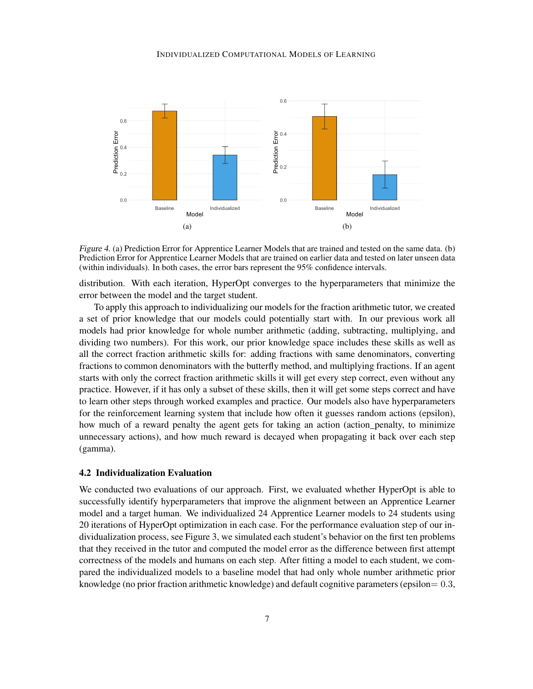#### INDIVIDUALIZED COMPUTATIONAL MODELS OF LEARNING



Figure 4. (a) Prediction Error for Apprentice Learner Models that are trained and tested on the same data. (b) Prediction Error for Apprentice Learner Models that are trained on earlier data and tested on later unseen data (within individuals). In both cases, the error bars represent the 95% confidence intervals.

distribution. With each iteration, HyperOpt converges to the hyperparameters that minimize the error between the model and the target student.

To apply this approach to individualizing our models for the fraction arithmetic tutor, we created a set of prior knowledge that our models could potentially start with. In our previous work all models had prior knowledge for whole number arithmetic (adding, subtracting, multiplying, and dividing two numbers). For this work, our prior knowledge space includes these skills as well as all the correct fraction arithmetic skills for: adding fractions with same denominators, converting fractions to common denominators with the butterfly method, and multiplying fractions. If an agent starts with only the correct fraction arithmetic skills it will get every step correct, even without any practice. However, if it has only a subset of these skills, then it will get some steps correct and have to learn other steps through worked examples and practice. Our models also have hyperparameters for the reinforcement learning system that include how often it guesses random actions (epsilon), how much of a reward penalty the agent gets for taking an action (action penalty, to minimize unnecessary actions), and how much reward is decayed when propagating it back over each step (gamma).

### 4.2 Individualization Evaluation

We conducted two evaluations of our approach. First, we evaluated whether HyperOpt is able to successfully identify hyperparameters that improve the alignment between an Apprentice Learner model and a target human. We individualized 24 Apprentice Learner models to 24 students using 20 iterations of HyperOpt optimization in each case. For the performance evaluation step of our individualization process, see Figure 3, we simulated each student's behavior on the first ten problems that they received in the tutor and computed the model error as the difference between first attempt correctness of the models and humans on each step. After fitting a model to each student, we compared the individualized models to a baseline model that had only whole number arithmetic prior knowledge (no prior fraction arithmetic knowledge) and default cognitive parameters (epsilon= 0.3,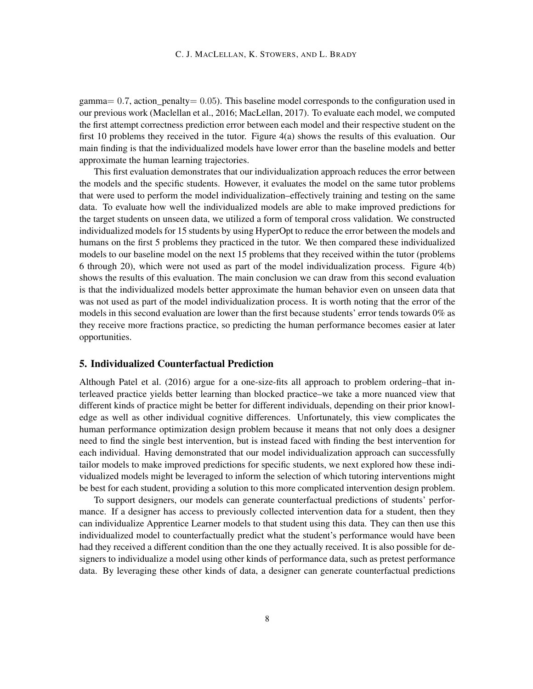gamma=  $0.7$ , action penalty= 0.05). This baseline model corresponds to the configuration used in our previous work (Maclellan et al., 2016; MacLellan, 2017). To evaluate each model, we computed the first attempt correctness prediction error between each model and their respective student on the first 10 problems they received in the tutor. Figure 4(a) shows the results of this evaluation. Our main finding is that the individualized models have lower error than the baseline models and better approximate the human learning trajectories.

This first evaluation demonstrates that our individualization approach reduces the error between the models and the specific students. However, it evaluates the model on the same tutor problems that were used to perform the model individualization–effectively training and testing on the same data. To evaluate how well the individualized models are able to make improved predictions for the target students on unseen data, we utilized a form of temporal cross validation. We constructed individualized models for 15 students by using HyperOpt to reduce the error between the models and humans on the first 5 problems they practiced in the tutor. We then compared these individualized models to our baseline model on the next 15 problems that they received within the tutor (problems 6 through 20), which were not used as part of the model individualization process. Figure 4(b) shows the results of this evaluation. The main conclusion we can draw from this second evaluation is that the individualized models better approximate the human behavior even on unseen data that was not used as part of the model individualization process. It is worth noting that the error of the models in this second evaluation are lower than the first because students' error tends towards 0% as they receive more fractions practice, so predicting the human performance becomes easier at later opportunities.

# 5. Individualized Counterfactual Prediction

Although Patel et al. (2016) argue for a one-size-fits all approach to problem ordering–that interleaved practice yields better learning than blocked practice–we take a more nuanced view that different kinds of practice might be better for different individuals, depending on their prior knowledge as well as other individual cognitive differences. Unfortunately, this view complicates the human performance optimization design problem because it means that not only does a designer need to find the single best intervention, but is instead faced with finding the best intervention for each individual. Having demonstrated that our model individualization approach can successfully tailor models to make improved predictions for specific students, we next explored how these individualized models might be leveraged to inform the selection of which tutoring interventions might be best for each student, providing a solution to this more complicated intervention design problem.

To support designers, our models can generate counterfactual predictions of students' performance. If a designer has access to previously collected intervention data for a student, then they can individualize Apprentice Learner models to that student using this data. They can then use this individualized model to counterfactually predict what the student's performance would have been had they received a different condition than the one they actually received. It is also possible for designers to individualize a model using other kinds of performance data, such as pretest performance data. By leveraging these other kinds of data, a designer can generate counterfactual predictions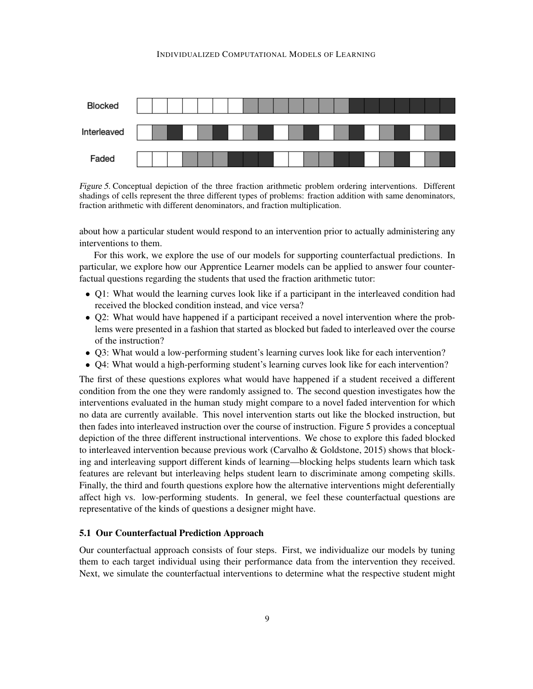#### INDIVIDUALIZED COMPUTATIONAL MODELS OF LEARNING



Figure 5. Conceptual depiction of the three fraction arithmetic problem ordering interventions. Different shadings of cells represent the three different types of problems: fraction addition with same denominators, fraction arithmetic with different denominators, and fraction multiplication.

about how a particular student would respond to an intervention prior to actually administering any interventions to them.

For this work, we explore the use of our models for supporting counterfactual predictions. In particular, we explore how our Apprentice Learner models can be applied to answer four counterfactual questions regarding the students that used the fraction arithmetic tutor:

- Q1: What would the learning curves look like if a participant in the interleaved condition had received the blocked condition instead, and vice versa?
- Q2: What would have happened if a participant received a novel intervention where the problems were presented in a fashion that started as blocked but faded to interleaved over the course of the instruction?
- Q3: What would a low-performing student's learning curves look like for each intervention?
- Q4: What would a high-performing student's learning curves look like for each intervention?

The first of these questions explores what would have happened if a student received a different condition from the one they were randomly assigned to. The second question investigates how the interventions evaluated in the human study might compare to a novel faded intervention for which no data are currently available. This novel intervention starts out like the blocked instruction, but then fades into interleaved instruction over the course of instruction. Figure 5 provides a conceptual depiction of the three different instructional interventions. We chose to explore this faded blocked to interleaved intervention because previous work (Carvalho & Goldstone, 2015) shows that blocking and interleaving support different kinds of learning—blocking helps students learn which task features are relevant but interleaving helps student learn to discriminate among competing skills. Finally, the third and fourth questions explore how the alternative interventions might deferentially affect high vs. low-performing students. In general, we feel these counterfactual questions are representative of the kinds of questions a designer might have.

## 5.1 Our Counterfactual Prediction Approach

Our counterfactual approach consists of four steps. First, we individualize our models by tuning them to each target individual using their performance data from the intervention they received. Next, we simulate the counterfactual interventions to determine what the respective student might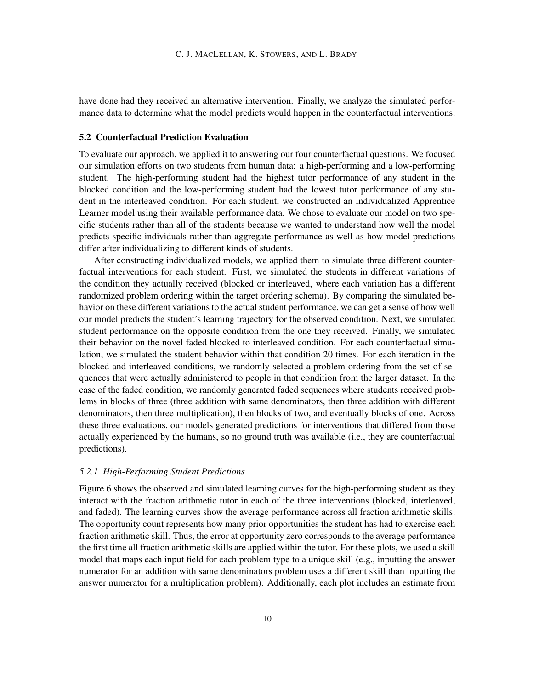have done had they received an alternative intervention. Finally, we analyze the simulated performance data to determine what the model predicts would happen in the counterfactual interventions.

### 5.2 Counterfactual Prediction Evaluation

To evaluate our approach, we applied it to answering our four counterfactual questions. We focused our simulation efforts on two students from human data: a high-performing and a low-performing student. The high-performing student had the highest tutor performance of any student in the blocked condition and the low-performing student had the lowest tutor performance of any student in the interleaved condition. For each student, we constructed an individualized Apprentice Learner model using their available performance data. We chose to evaluate our model on two specific students rather than all of the students because we wanted to understand how well the model predicts specific individuals rather than aggregate performance as well as how model predictions differ after individualizing to different kinds of students.

After constructing individualized models, we applied them to simulate three different counterfactual interventions for each student. First, we simulated the students in different variations of the condition they actually received (blocked or interleaved, where each variation has a different randomized problem ordering within the target ordering schema). By comparing the simulated behavior on these different variations to the actual student performance, we can get a sense of how well our model predicts the student's learning trajectory for the observed condition. Next, we simulated student performance on the opposite condition from the one they received. Finally, we simulated their behavior on the novel faded blocked to interleaved condition. For each counterfactual simulation, we simulated the student behavior within that condition 20 times. For each iteration in the blocked and interleaved conditions, we randomly selected a problem ordering from the set of sequences that were actually administered to people in that condition from the larger dataset. In the case of the faded condition, we randomly generated faded sequences where students received problems in blocks of three (three addition with same denominators, then three addition with different denominators, then three multiplication), then blocks of two, and eventually blocks of one. Across these three evaluations, our models generated predictions for interventions that differed from those actually experienced by the humans, so no ground truth was available (i.e., they are counterfactual predictions).

# *5.2.1 High-Performing Student Predictions*

Figure 6 shows the observed and simulated learning curves for the high-performing student as they interact with the fraction arithmetic tutor in each of the three interventions (blocked, interleaved, and faded). The learning curves show the average performance across all fraction arithmetic skills. The opportunity count represents how many prior opportunities the student has had to exercise each fraction arithmetic skill. Thus, the error at opportunity zero corresponds to the average performance the first time all fraction arithmetic skills are applied within the tutor. For these plots, we used a skill model that maps each input field for each problem type to a unique skill (e.g., inputting the answer numerator for an addition with same denominators problem uses a different skill than inputting the answer numerator for a multiplication problem). Additionally, each plot includes an estimate from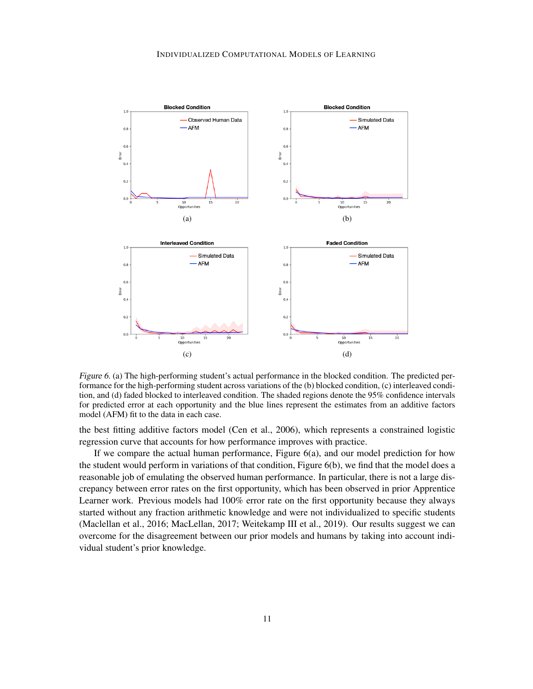

Figure 6. (a) The high-performing student's actual performance in the blocked condition. The predicted performance for the high-performing student across variations of the (b) blocked condition, (c) interleaved condition, and (d) faded blocked to interleaved condition. The shaded regions denote the 95% confidence intervals for predicted error at each opportunity and the blue lines represent the estimates from an additive factors model (AFM) fit to the data in each case.

the best fitting additive factors model (Cen et al., 2006), which represents a constrained logistic regression curve that accounts for how performance improves with practice.

If we compare the actual human performance, Figure 6(a), and our model prediction for how the student would perform in variations of that condition, Figure 6(b), we find that the model does a reasonable job of emulating the observed human performance. In particular, there is not a large discrepancy between error rates on the first opportunity, which has been observed in prior Apprentice Learner work. Previous models had 100% error rate on the first opportunity because they always started without any fraction arithmetic knowledge and were not individualized to specific students (Maclellan et al., 2016; MacLellan, 2017; Weitekamp III et al., 2019). Our results suggest we can overcome for the disagreement between our prior models and humans by taking into account individual student's prior knowledge.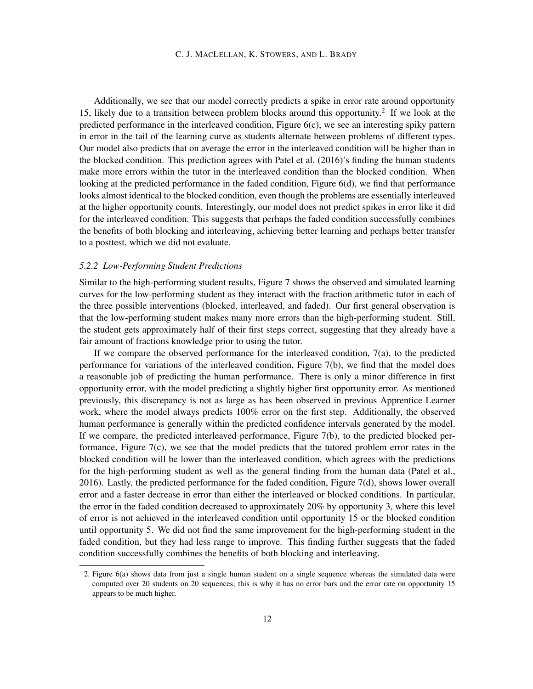Additionally, we see that our model correctly predicts a spike in error rate around opportunity 15, likely due to a transition between problem blocks around this opportunity.<sup>2</sup> If we look at the predicted performance in the interleaved condition, Figure 6(c), we see an interesting spiky pattern in error in the tail of the learning curve as students alternate between problems of different types. Our model also predicts that on average the error in the interleaved condition will be higher than in the blocked condition. This prediction agrees with Patel et al. (2016)'s finding the human students make more errors within the tutor in the interleaved condition than the blocked condition. When looking at the predicted performance in the faded condition, Figure 6(d), we find that performance looks almost identical to the blocked condition, even though the problems are essentially interleaved at the higher opportunity counts. Interestingly, our model does not predict spikes in error like it did for the interleaved condition. This suggests that perhaps the faded condition successfully combines the benefits of both blocking and interleaving, achieving better learning and perhaps better transfer to a posttest, which we did not evaluate.

# *5.2.2 Low-Performing Student Predictions*

Similar to the high-performing student results, Figure 7 shows the observed and simulated learning curves for the low-performing student as they interact with the fraction arithmetic tutor in each of the three possible interventions (blocked, interleaved, and faded). Our first general observation is that the low-performing student makes many more errors than the high-performing student. Still, the student gets approximately half of their first steps correct, suggesting that they already have a fair amount of fractions knowledge prior to using the tutor.

If we compare the observed performance for the interleaved condition,  $7(a)$ , to the predicted performance for variations of the interleaved condition, Figure 7(b), we find that the model does a reasonable job of predicting the human performance. There is only a minor difference in first opportunity error, with the model predicting a slightly higher first opportunity error. As mentioned previously, this discrepancy is not as large as has been observed in previous Apprentice Learner work, where the model always predicts 100% error on the first step. Additionally, the observed human performance is generally within the predicted confidence intervals generated by the model. If we compare, the predicted interleaved performance, Figure 7(b), to the predicted blocked performance, Figure 7(c), we see that the model predicts that the tutored problem error rates in the blocked condition will be lower than the interleaved condition, which agrees with the predictions for the high-performing student as well as the general finding from the human data (Patel et al., 2016). Lastly, the predicted performance for the faded condition, Figure 7(d), shows lower overall error and a faster decrease in error than either the interleaved or blocked conditions. In particular, the error in the faded condition decreased to approximately 20% by opportunity 3, where this level of error is not achieved in the interleaved condition until opportunity 15 or the blocked condition until opportunity 5. We did not find the same improvement for the high-performing student in the faded condition, but they had less range to improve. This finding further suggests that the faded condition successfully combines the benefits of both blocking and interleaving.

<sup>2.</sup> Figure 6(a) shows data from just a single human student on a single sequence whereas the simulated data were computed over 20 students on 20 sequences; this is why it has no error bars and the error rate on opportunity 15 appears to be much higher.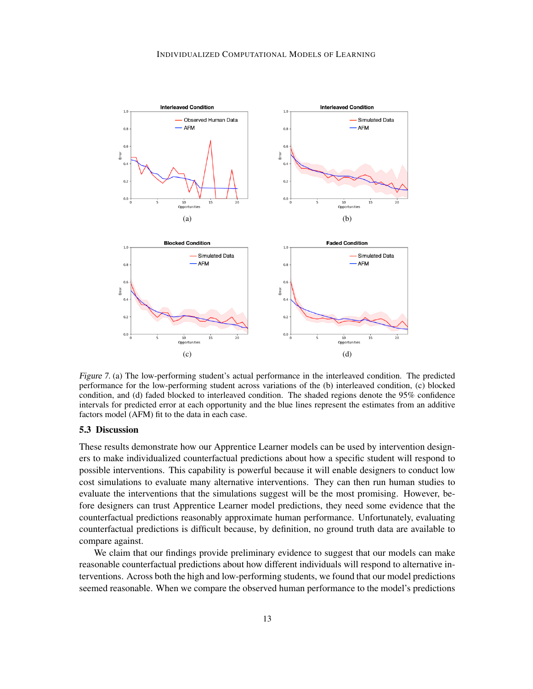

Figure 7. (a) The low-performing student's actual performance in the interleaved condition. The predicted performance for the low-performing student across variations of the (b) interleaved condition, (c) blocked condition, and (d) faded blocked to interleaved condition. The shaded regions denote the 95% confidence intervals for predicted error at each opportunity and the blue lines represent the estimates from an additive factors model (AFM) fit to the data in each case.

# 5.3 Discussion

These results demonstrate how our Apprentice Learner models can be used by intervention designers to make individualized counterfactual predictions about how a specific student will respond to possible interventions. This capability is powerful because it will enable designers to conduct low cost simulations to evaluate many alternative interventions. They can then run human studies to evaluate the interventions that the simulations suggest will be the most promising. However, before designers can trust Apprentice Learner model predictions, they need some evidence that the counterfactual predictions reasonably approximate human performance. Unfortunately, evaluating counterfactual predictions is difficult because, by definition, no ground truth data are available to compare against.

We claim that our findings provide preliminary evidence to suggest that our models can make reasonable counterfactual predictions about how different individuals will respond to alternative interventions. Across both the high and low-performing students, we found that our model predictions seemed reasonable. When we compare the observed human performance to the model's predictions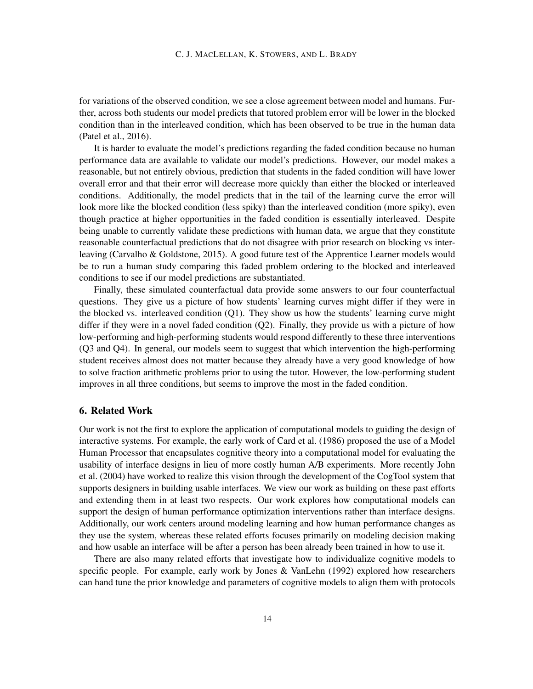for variations of the observed condition, we see a close agreement between model and humans. Further, across both students our model predicts that tutored problem error will be lower in the blocked condition than in the interleaved condition, which has been observed to be true in the human data (Patel et al., 2016).

It is harder to evaluate the model's predictions regarding the faded condition because no human performance data are available to validate our model's predictions. However, our model makes a reasonable, but not entirely obvious, prediction that students in the faded condition will have lower overall error and that their error will decrease more quickly than either the blocked or interleaved conditions. Additionally, the model predicts that in the tail of the learning curve the error will look more like the blocked condition (less spiky) than the interleaved condition (more spiky), even though practice at higher opportunities in the faded condition is essentially interleaved. Despite being unable to currently validate these predictions with human data, we argue that they constitute reasonable counterfactual predictions that do not disagree with prior research on blocking vs interleaving (Carvalho & Goldstone, 2015). A good future test of the Apprentice Learner models would be to run a human study comparing this faded problem ordering to the blocked and interleaved conditions to see if our model predictions are substantiated.

Finally, these simulated counterfactual data provide some answers to our four counterfactual questions. They give us a picture of how students' learning curves might differ if they were in the blocked vs. interleaved condition (Q1). They show us how the students' learning curve might differ if they were in a novel faded condition (Q2). Finally, they provide us with a picture of how low-performing and high-performing students would respond differently to these three interventions (Q3 and Q4). In general, our models seem to suggest that which intervention the high-performing student receives almost does not matter because they already have a very good knowledge of how to solve fraction arithmetic problems prior to using the tutor. However, the low-performing student improves in all three conditions, but seems to improve the most in the faded condition.

# 6. Related Work

Our work is not the first to explore the application of computational models to guiding the design of interactive systems. For example, the early work of Card et al. (1986) proposed the use of a Model Human Processor that encapsulates cognitive theory into a computational model for evaluating the usability of interface designs in lieu of more costly human A/B experiments. More recently John et al. (2004) have worked to realize this vision through the development of the CogTool system that supports designers in building usable interfaces. We view our work as building on these past efforts and extending them in at least two respects. Our work explores how computational models can support the design of human performance optimization interventions rather than interface designs. Additionally, our work centers around modeling learning and how human performance changes as they use the system, whereas these related efforts focuses primarily on modeling decision making and how usable an interface will be after a person has been already been trained in how to use it.

There are also many related efforts that investigate how to individualize cognitive models to specific people. For example, early work by Jones & VanLehn (1992) explored how researchers can hand tune the prior knowledge and parameters of cognitive models to align them with protocols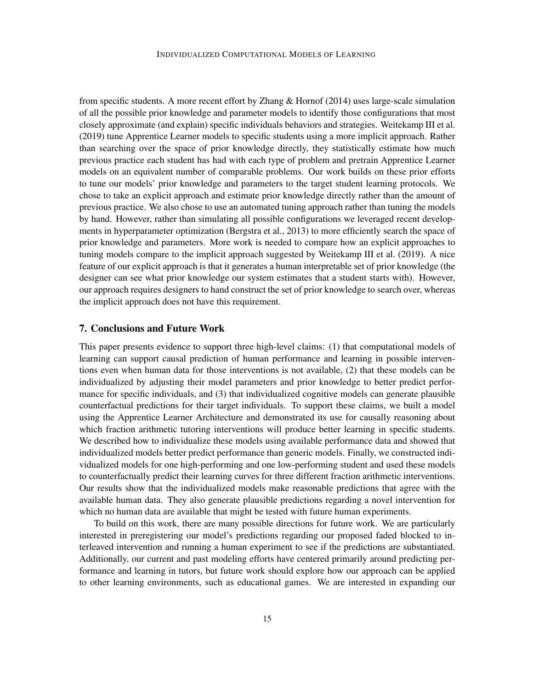from specific students. A more recent effort by Zhang  $\&$  Hornof (2014) uses large-scale simulation of all the possible prior knowledge and parameter models to identify those configurations that most closely approximate (and explain) specific individuals behaviors and strategies. Weitekamp III et al. (2019) tune Apprentice Learner models to specific students using a more implicit approach. Rather than searching over the space of prior knowledge directly, they statistically estimate how much previous practice each student has had with each type of problem and pretrain Apprentice Learner models on an equivalent number of comparable problems. Our work builds on these prior efforts to tune our models' prior knowledge and parameters to the target student learning protocols. We chose to take an explicit approach and estimate prior knowledge directly rather than the amount of previous practice. We also chose to use an automated tuning approach rather than tuning the models by hand. However, rather than simulating all possible configurations we leveraged recent developments in hyperparameter optimization (Bergstra et al., 2013) to more efficiently search the space of prior knowledge and parameters. More work is needed to compare how an explicit approaches to tuning models compare to the implicit approach suggested by Weitekamp III et al. (2019). A nice feature of our explicit approach is that it generates a human interpretable set of prior knowledge (the designer can see what prior knowledge our system estimates that a student starts with). However, our approach requires designers to hand construct the set of prior knowledge to search over, whereas the implicit approach does not have this requirement.

### 7. Conclusions and Future Work

This paper presents evidence to support three high-level claims: (1) that computational models of learning can support causal prediction of human performance and learning in possible interventions even when human data for those interventions is not available, (2) that these models can be individualized by adjusting their model parameters and prior knowledge to better predict performance for specific individuals, and (3) that individualized cognitive models can generate plausible counterfactual predictions for their target individuals. To support these claims, we built a model using the Apprentice Learner Architecture and demonstrated its use for causally reasoning about which fraction arithmetic tutoring interventions will produce better learning in specific students. We described how to individualize these models using available performance data and showed that individualized models better predict performance than generic models. Finally, we constructed individualized models for one high-performing and one low-performing student and used these models to counterfactually predict their learning curves for three different fraction arithmetic interventions. Our results show that the individualized models make reasonable predictions that agree with the available human data. They also generate plausible predictions regarding a novel intervention for which no human data are available that might be tested with future human experiments.

To build on this work, there are many possible directions for future work. We are particularly interested in preregistering our model's predictions regarding our proposed faded blocked to interleaved intervention and running a human experiment to see if the predictions are substantiated. Additionally, our current and past modeling efforts have centered primarily around predicting performance and learning in tutors, but future work should explore how our approach can be applied to other learning environments, such as educational games. We are interested in expanding our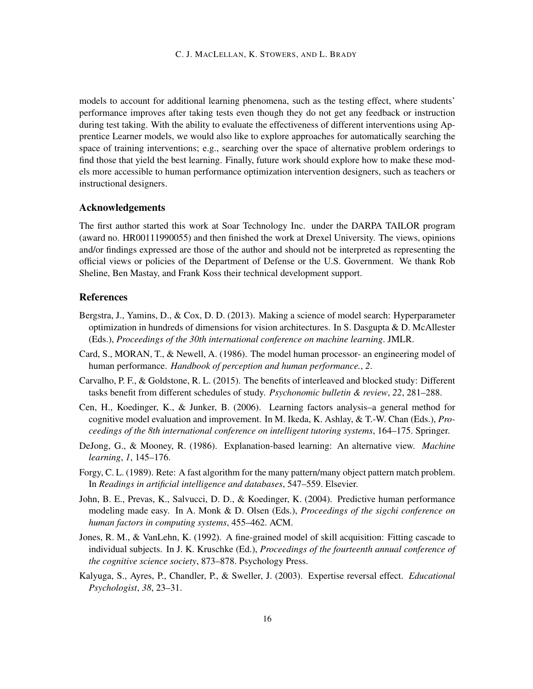models to account for additional learning phenomena, such as the testing effect, where students' performance improves after taking tests even though they do not get any feedback or instruction during test taking. With the ability to evaluate the effectiveness of different interventions using Apprentice Learner models, we would also like to explore approaches for automatically searching the space of training interventions; e.g., searching over the space of alternative problem orderings to find those that yield the best learning. Finally, future work should explore how to make these models more accessible to human performance optimization intervention designers, such as teachers or instructional designers.

### Acknowledgements

The first author started this work at Soar Technology Inc. under the DARPA TAILOR program (award no. HR00111990055) and then finished the work at Drexel University. The views, opinions and/or findings expressed are those of the author and should not be interpreted as representing the official views or policies of the Department of Defense or the U.S. Government. We thank Rob Sheline, Ben Mastay, and Frank Koss their technical development support.

# References

- Bergstra, J., Yamins, D., & Cox, D. D. (2013). Making a science of model search: Hyperparameter optimization in hundreds of dimensions for vision architectures. In S. Dasgupta & D. McAllester (Eds.), *Proceedings of the 30th international conference on machine learning*. JMLR.
- Card, S., MORAN, T., & Newell, A. (1986). The model human processor- an engineering model of human performance. *Handbook of perception and human performance.*, *2*.
- Carvalho, P. F., & Goldstone, R. L. (2015). The benefits of interleaved and blocked study: Different tasks benefit from different schedules of study. *Psychonomic bulletin & review*, *22*, 281–288.
- Cen, H., Koedinger, K., & Junker, B. (2006). Learning factors analysis–a general method for cognitive model evaluation and improvement. In M. Ikeda, K. Ashlay, & T.-W. Chan (Eds.), *Proceedings of the 8th international conference on intelligent tutoring systems*, 164–175. Springer.
- DeJong, G., & Mooney, R. (1986). Explanation-based learning: An alternative view. *Machine learning*, *1*, 145–176.
- Forgy, C. L. (1989). Rete: A fast algorithm for the many pattern/many object pattern match problem. In *Readings in artificial intelligence and databases*, 547–559. Elsevier.
- John, B. E., Prevas, K., Salvucci, D. D., & Koedinger, K. (2004). Predictive human performance modeling made easy. In A. Monk & D. Olsen (Eds.), *Proceedings of the sigchi conference on human factors in computing systems*, 455–462. ACM.
- Jones, R. M., & VanLehn, K. (1992). A fine-grained model of skill acquisition: Fitting cascade to individual subjects. In J. K. Kruschke (Ed.), *Proceedings of the fourteenth annual conference of the cognitive science society*, 873–878. Psychology Press.
- Kalyuga, S., Ayres, P., Chandler, P., & Sweller, J. (2003). Expertise reversal effect. *Educational Psychologist*, *38*, 23–31.